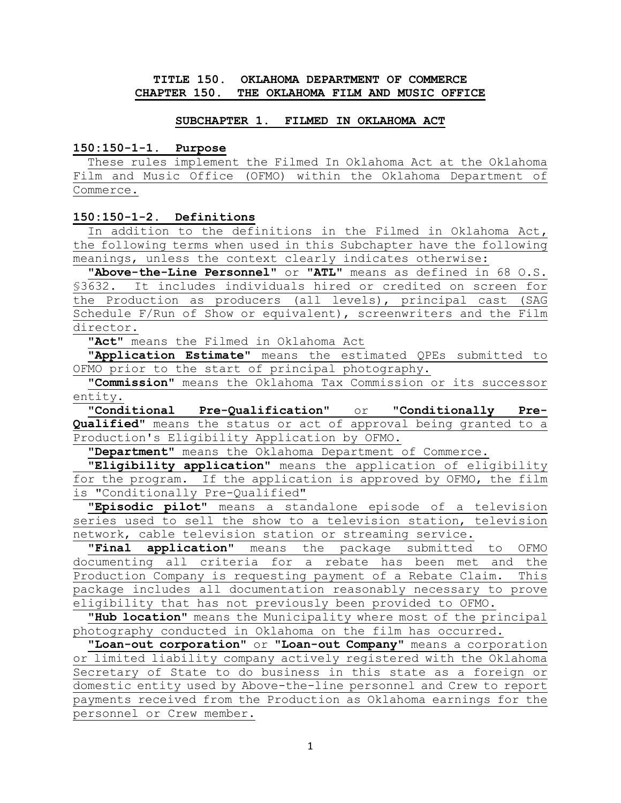### **TITLE 150. OKLAHOMA DEPARTMENT OF COMMERCE CHAPTER 150. THE OKLAHOMA FILM AND MUSIC OFFICE**

#### **SUBCHAPTER 1. FILMED IN OKLAHOMA ACT**

#### **150:150-1-1. Purpose**

 These rules implement the Filmed In Oklahoma Act at the Oklahoma Film and Music Office (OFMO) within the Oklahoma Department of Commerce.

### **150:150-1-2. Definitions**

In addition to the definitions in the Filmed in Oklahoma Act**,**  the following terms when used in this Subchapter have the following meanings, unless the context clearly indicates otherwise:

 **"Above-the-Line Personnel"** or **"ATL"** means as defined in 68 O.S. §3632. It includes individuals hired or credited on screen for the Production as producers (all levels), principal cast (SAG Schedule F/Run of Show or equivalent), screenwriters and the Film director.

 **"Act"** means the Filmed in Oklahoma Act

 **"Application Estimate"** means the estimated QPEs submitted to OFMO prior to the start of principal photography.

 **"Commission"** means the Oklahoma Tax Commission or its successor entity.

 **"Conditional Pre-Qualification"** or **"Conditionally Pre-Qualified"** means the status or act of approval being granted to a Production's Eligibility Application by OFMO.

 **"Department"** means the Oklahoma Department of Commerce.

 **"Eligibility application"** means the application of eligibility for the program. If the application is approved by OFMO, the film is "Conditionally Pre-Qualified"

**"Episodic pilot"** means a standalone episode of a television series used to sell the show to a television station, television network, cable television station or streaming service.

 **"Final application"** means the package submitted to OFMO documenting all criteria for a rebate has been met and the Production Company is requesting payment of a Rebate Claim. This package includes all documentation reasonably necessary to prove eligibility that has not previously been provided to OFMO.

 **"Hub location"** means the Municipality where most of the principal photography conducted in Oklahoma on the film has occurred.

 **"Loan-out corporation"** or **"Loan-out Company"** means a corporation or limited liability company actively registered with the Oklahoma Secretary of State to do business in this state as a foreign or domestic entity used by Above-the-line personnel and Crew to report payments received from the Production as Oklahoma earnings for the personnel or Crew member.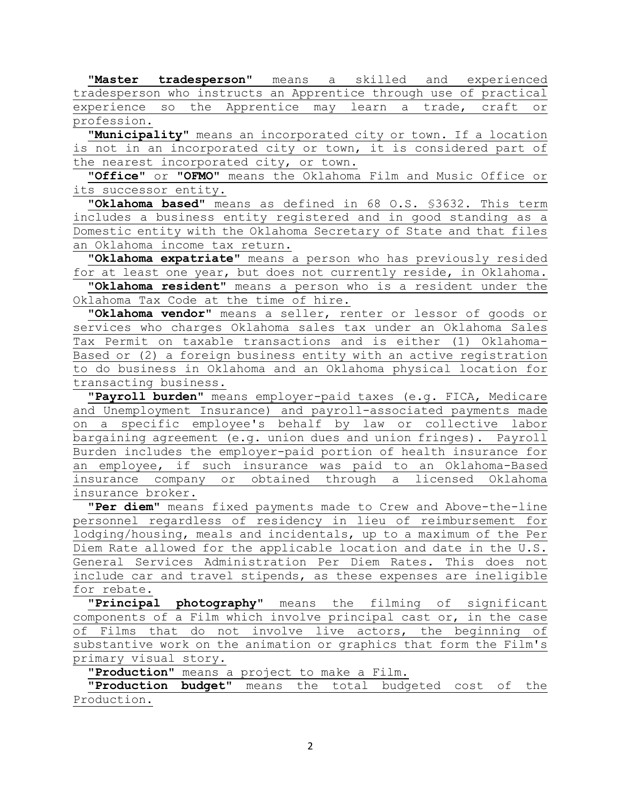**"Master tradesperson"** means a skilled and experienced tradesperson who instructs an Apprentice through use of practical experience so the Apprentice may learn a trade, craft or profession.

 **"Municipality"** means an incorporated city or town. If a location is not in an incorporated city or town, it is considered part of the nearest incorporated city, or town.

 **"Office"** or **"OFMO**" means the Oklahoma Film and Music Office or its successor entity.

 **"Oklahoma based"** means as defined in 68 O.S. §3632. This term includes a business entity registered and in good standing as a Domestic entity with the Oklahoma Secretary of State and that files an Oklahoma income tax return.

 **"Oklahoma expatriate"** means a person who has previously resided for at least one year, but does not currently reside, in Oklahoma.

 **"Oklahoma resident"** means a person who is a resident under the Oklahoma Tax Code at the time of hire.

 **"Oklahoma vendor"** means a seller, renter or lessor of goods or services who charges Oklahoma sales tax under an Oklahoma Sales Tax Permit on taxable transactions and is either (1) Oklahoma-Based or (2) a foreign business entity with an active registration to do business in Oklahoma and an Oklahoma physical location for transacting business.

 **"Payroll burden"** means employer-paid taxes (e.g. FICA, Medicare and Unemployment Insurance) and payroll-associated payments made on a specific employee's behalf by law or collective labor bargaining agreement (e.g. union dues and union fringes). Payroll Burden includes the employer-paid portion of health insurance for an employee, if such insurance was paid to an Oklahoma-Based insurance company or obtained through a licensed Oklahoma insurance broker.

 **"Per diem"** means fixed payments made to Crew and Above-the-line personnel regardless of residency in lieu of reimbursement for lodging/housing, meals and incidentals, up to a maximum of the Per Diem Rate allowed for the applicable location and date in the U.S. General Services Administration Per Diem Rates. This does not include car and travel stipends, as these expenses are ineligible for rebate.

 **"Principal photography"** means the filming of significant components of a Film which involve principal cast or, in the case of Films that do not involve live actors, the beginning of substantive work on the animation or graphics that form the Film's primary visual story.

 **"Production"** means a project to make a Film.

 **"Production budget"** means the total budgeted cost of the Production.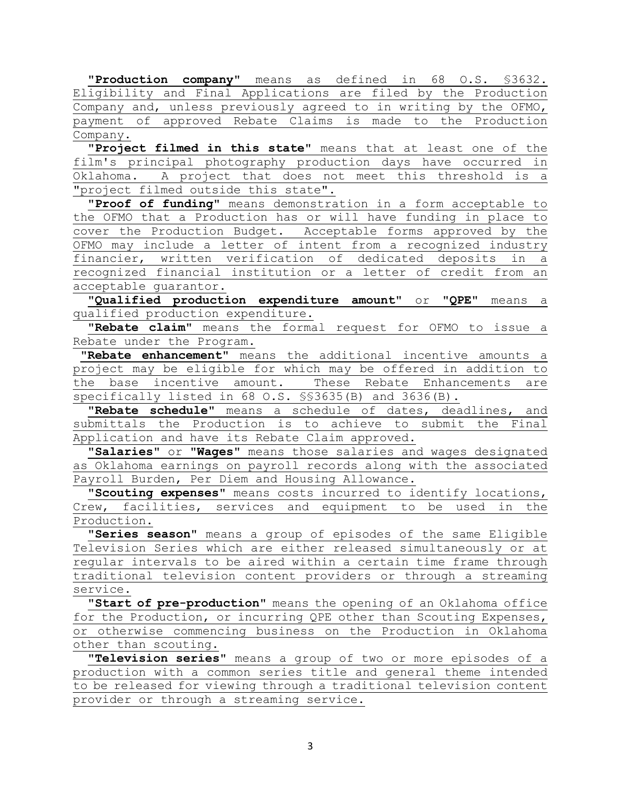**"Production company"** means as defined in 68 O.S. §3632. Eligibility and Final Applications are filed by the Production Company and, unless previously agreed to in writing by the OFMO, payment of approved Rebate Claims is made to the Production Company.

 **"Project filmed in this state"** means that at least one of the film's principal photography production days have occurred in Oklahoma. A project that does not meet this threshold is a "project filmed outside this state".

 **"Proof of funding"** means demonstration in a form acceptable to the OFMO that a Production has or will have funding in place to cover the Production Budget. Acceptable forms approved by the OFMO may include a letter of intent from a recognized industry financier, written verification of dedicated deposits in a recognized financial institution or a letter of credit from an acceptable guarantor.

 **"Qualified production expenditure amount"** or **"QPE"** means a qualified production expenditure.

 **"Rebate claim"** means the formal request for OFMO to issue a Rebate under the Program.

 **"Rebate enhancement"** means the additional incentive amounts a project may be eligible for which may be offered in addition to the base incentive amount. These Rebate Enhancements are specifically listed in 68 O.S. §§3635(B) and 3636(B).

 **"Rebate schedule"** means a schedule of dates, deadlines, and submittals the Production is to achieve to submit the Final Application and have its Rebate Claim approved.

 **"Salaries"** or **"Wages"** means those salaries and wages designated as Oklahoma earnings on payroll records along with the associated Payroll Burden, Per Diem and Housing Allowance.

 **"Scouting expenses"** means costs incurred to identify locations, Crew, facilities, services and equipment to be used in the Production.

 **"Series season"** means a group of episodes of the same Eligible Television Series which are either released simultaneously or at regular intervals to be aired within a certain time frame through traditional television content providers or through a streaming service.

 **"Start of pre-production"** means the opening of an Oklahoma office for the Production, or incurring QPE other than Scouting Expenses, or otherwise commencing business on the Production in Oklahoma other than scouting.

 **"Television series"** means a group of two or more episodes of a production with a common series title and general theme intended to be released for viewing through a traditional television content provider or through a streaming service.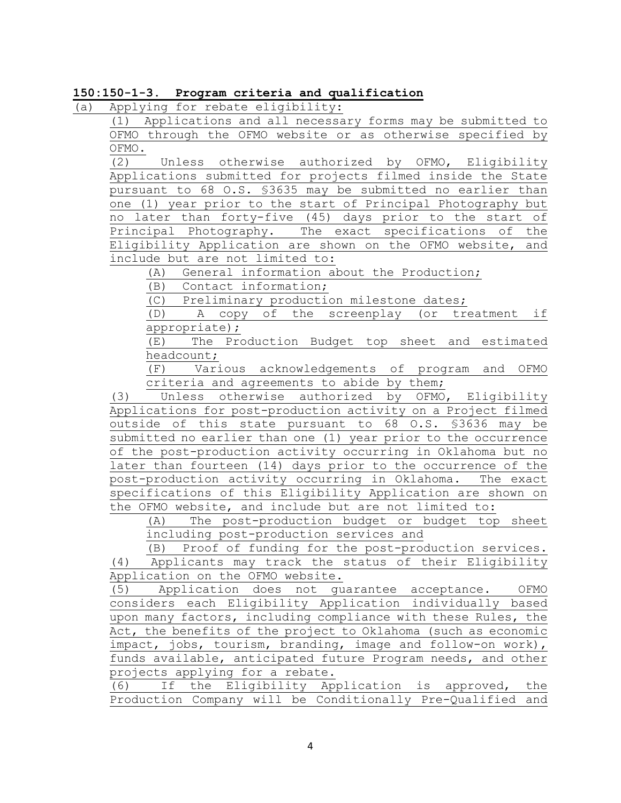### **150:150-1-3. Program criteria and qualification**

(a) Applying for rebate eligibility:

(1) Applications and all necessary forms may be submitted to OFMO through the OFMO website or as otherwise specified by  $\frac{\text{OFMO}}{\text{(2)}}$ 

Unless otherwise authorized by OFMO, Eligibility Applications submitted for projects filmed inside the State pursuant to 68 O.S. §3635 may be submitted no earlier than one (1) year prior to the start of Principal Photography but no later than forty-five (45) days prior to the start of Principal Photography. The exact specifications of the Eligibility Application are shown on the OFMO website, and include but are not limited to:

(A) General information about the Production;

(B) Contact information;

(C) Preliminary production milestone dates;

(D) A copy of the screenplay (or treatment if appropriate);

(E) The Production Budget top sheet and estimated

 $\frac{\text{headcount}}{\text{F}}$ <br>(F) Vari Various acknowledgements of program and OFMO criteria and agreements to abide by them;

(3) Unless otherwise authorized by OFMO, Eligibility Applications for post-production activity on a Project filmed outside of this state pursuant to 68 O.S. §3636 may be submitted no earlier than one (1) year prior to the occurrence of the post-production activity occurring in Oklahoma but no later than fourteen (14) days prior to the occurrence of the post-production activity occurring in Oklahoma. The exact specifications of this Eligibility Application are shown on the OFMO website, and include but are not limited to:

(A) The post-production budget or budget top sheet including post-production services and

 (B) Proof of funding for the post-production services. (4) Applicants may track the status of their Eligibility Application on the OFMO website.

(5) Application does not guarantee acceptance. OFMO considers each Eligibility Application individually based upon many factors, including compliance with these Rules, the Act, the benefits of the project to Oklahoma (such as economic impact, jobs, tourism, branding, image and follow-on work), funds available, anticipated future Program needs, and other projects applying for a rebate.

(6) If the Eligibility Application is approved, the Production Company will be Conditionally Pre-Qualified and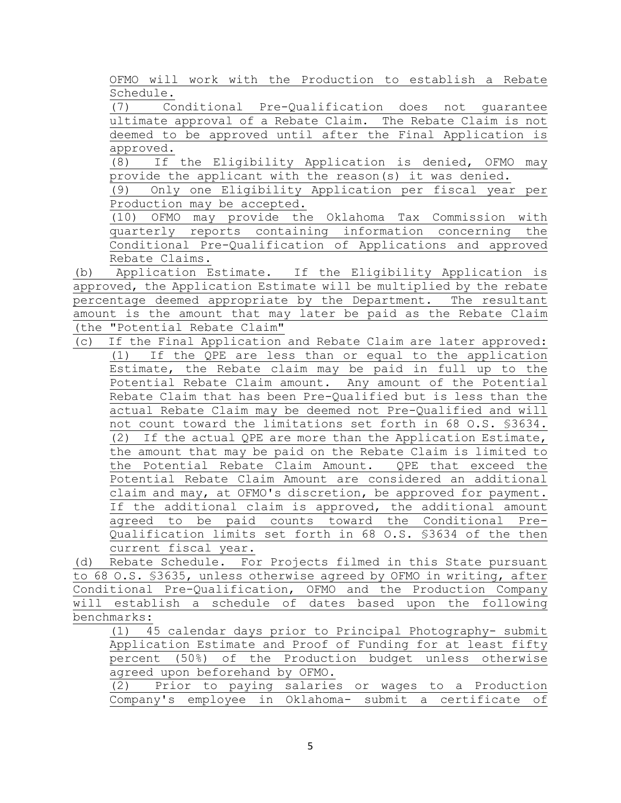OFMO will work with the Production to establish a Rebate Schedule.

(7) Conditional Pre-Qualification does not guarantee ultimate approval of a Rebate Claim. The Rebate Claim is not deemed to be approved until after the Final Application is  $\frac{\text{approved.}}{\text{(8)}}$ 

If the Eligibility Application is denied, OFMO may provide the applicant with the reason(s) it was denied.

Only one Eligibility Application per fiscal year per Production may be accepted.

(10) OFMO may provide the Oklahoma Tax Commission with quarterly reports containing information concerning the Conditional Pre-Qualification of Applications and approved Rebate Claims.

(b) Application Estimate. If the Eligibility Application is approved, the Application Estimate will be multiplied by the rebate percentage deemed appropriate by the Department. The resultant amount is the amount that may later be paid as the Rebate Claim (the "Potential Rebate Claim"

(c) If the Final Application and Rebate Claim are later approved: (1) If the QPE are less than or equal to the application Estimate, the Rebate claim may be paid in full up to the Potential Rebate Claim amount. Any amount of the Potential Rebate Claim that has been Pre-Qualified but is less than the actual Rebate Claim may be deemed not Pre-Qualified and will not count toward the limitations set forth in 68 O.S. §3634. (2) If the actual QPE are more than the Application Estimate, the amount that may be paid on the Rebate Claim is limited to the Potential Rebate Claim Amount. QPE that exceed the Potential Rebate Claim Amount are considered an additional claim and may, at OFMO's discretion, be approved for payment. If the additional claim is approved, the additional amount agreed to be paid counts toward the Conditional Pre-Qualification limits set forth in 68 O.S. §3634 of the then current fiscal year.

(d) Rebate Schedule. For Projects filmed in this State pursuant to 68 O.S. §3635, unless otherwise agreed by OFMO in writing, after Conditional Pre-Qualification, OFMO and the Production Company will establish a schedule of dates based upon the following benchmarks:<br> $\frac{(1)$  4

(1) 45 calendar days prior to Principal Photography- submit Application Estimate and Proof of Funding for at least fifty percent (50%) of the Production budget unless otherwise agreed upon beforehand by OFMO.

(2) Prior to paying salaries or wages to a Production Company's employee in Oklahoma- submit a certificate of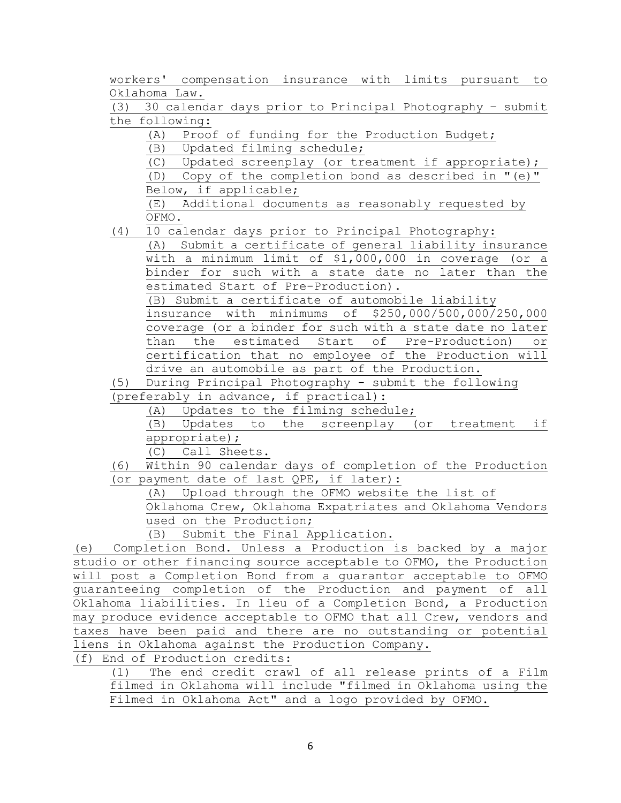workers' compensation insurance with limits pursuant to Oklahoma Law.

(3) 30 calendar days prior to Principal Photography – submit the following:

(A) Proof of funding for the Production Budget;

(B) Updated filming schedule;

 (C) Updated screenplay (or treatment if appropriate); (D) Copy of the completion bond as described in "(e)"

Below, if applicable;

(E) Additional documents as reasonably requested by OFMO.

(4) 10 calendar days prior to Principal Photography:

(A) Submit a certificate of general liability insurance with a minimum limit of \$1,000,000 in coverage (or a binder for such with a state date no later than the estimated Start of Pre-Production).

(B) Submit a certificate of automobile liability

insurance with minimums of \$250,000/500,000/250,000 coverage (or a binder for such with a state date no later than the estimated Start of Pre-Production) or certification that no employee of the Production will drive an automobile as part of the Production.

(5) During Principal Photography - submit the following

(preferably in advance, if practical):

(A) Updates to the filming schedule;

(B) Updates to the screenplay (or treatment if appropriate);

(C) Call Sheets.

(6) Within 90 calendar days of completion of the Production (or payment date of last QPE, if later):

(A) Upload through the OFMO website the list of

Oklahoma Crew, Oklahoma Expatriates and Oklahoma Vendors used on the Production;

(B) Submit the Final Application.

(e) Completion Bond. Unless a Production is backed by a major studio or other financing source acceptable to OFMO, the Production will post a Completion Bond from a guarantor acceptable to OFMO guaranteeing completion of the Production and payment of all Oklahoma liabilities. In lieu of a Completion Bond, a Production may produce evidence acceptable to OFMO that all Crew, vendors and taxes have been paid and there are no outstanding or potential liens in Oklahoma against the Production Company.

(f) End of Production credits:

(1) The end credit crawl of all release prints of a Film filmed in Oklahoma will include "filmed in Oklahoma using the Filmed in Oklahoma Act" and a logo provided by OFMO.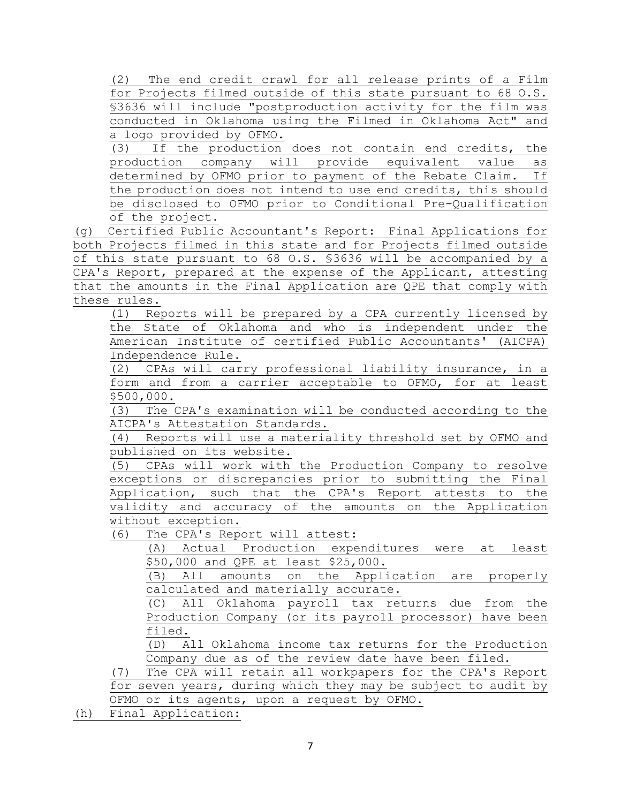(2) The end credit crawl for all release prints of a Film for Projects filmed outside of this state pursuant to 68 O.S. §3636 will include "postproduction activity for the film was conducted in Oklahoma using the Filmed in Oklahoma Act" and a logo provided by OFMO.

(3) If the production does not contain end credits, the<br>production company will provide equivalent value as production company will provide equivalent value as<br>determined by OFMO prior to payment of the Rebate Claim. If determined by OFMO prior to payment of the Rebate Claim. the production does not intend to use end credits, this should be disclosed to OFMO prior to Conditional Pre-Qualification of the project.

(g) Certified Public Accountant's Report: Final Applications for both Projects filmed in this state and for Projects filmed outside of this state pursuant to 68 O.S. §3636 will be accompanied by a CPA's Report, prepared at the expense of the Applicant, attesting that the amounts in the Final Application are QPE that comply with these rules.

(1) Reports will be prepared by a CPA currently licensed by the State of Oklahoma and who is independent under the American Institute of certified Public Accountants' (AICPA) Independence Rule.

(2) CPAs will carry professional liability insurance, in a form and from a carrier acceptable to OFMO, for at least \$500,000.

(3) The CPA's examination will be conducted according to the AICPA's Attestation Standards.

(4) Reports will use a materiality threshold set by OFMO and published on its website.

(5) CPAs will work with the Production Company to resolve exceptions or discrepancies prior to submitting the Final Application, such that the CPA's Report attests to the validity and accuracy of the amounts on the Application without exception.<br>(6) The CPA's Repe

The CPA's Report will attest:

(A) Actual Production expenditures were at least \$50,000 and QPE at least \$25,000.

(B) All amounts on the Application are properly calculated and materially accurate.

(C) All Oklahoma payroll tax returns due from the Production Company (or its payroll processor) have been filed.

(D) All Oklahoma income tax returns for the Production Company due as of the review date have been filed.

(7) The CPA will retain all workpapers for the CPA's Report for seven years, during which they may be subject to audit by OFMO or its agents, upon a request by OFMO.

(h) Final Application: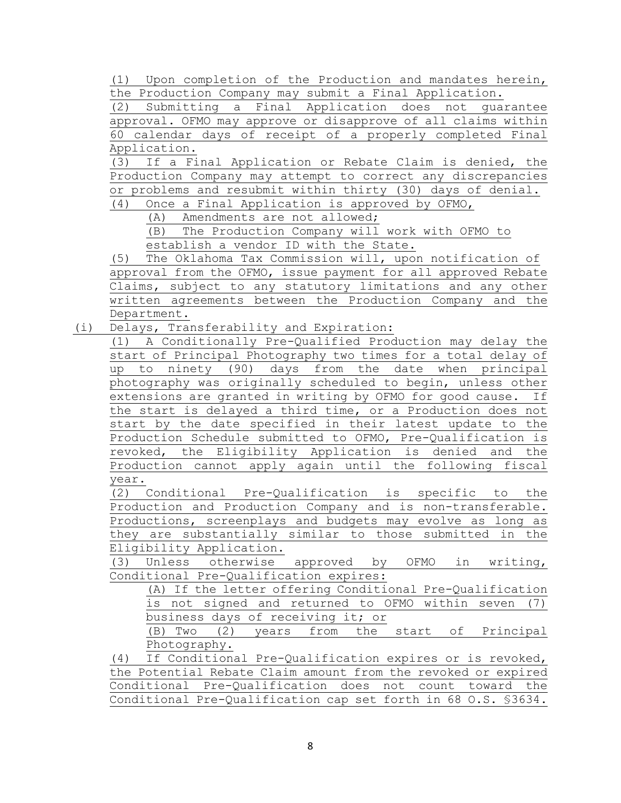(1) Upon completion of the Production and mandates herein, the Production Company may submit a Final Application.

(2) Submitting a Final Application does not guarantee approval. OFMO may approve or disapprove of all claims within 60 calendar days of receipt of a properly completed Final Application.<br>(3) If a Fi

If a Final Application or Rebate Claim is denied, the Production Company may attempt to correct any discrepancies or problems and resubmit within thirty (30) days of denial.<br>(4) Once a Final Application is approved by OFMO. Once a Final Application is approved by OFMO,

(A) Amendments are not allowed;

(B) The Production Company will work with OFMO to establish a vendor ID with the State.

(5) The Oklahoma Tax Commission will, upon notification of approval from the OFMO, issue payment for all approved Rebate Claims, subject to any statutory limitations and any other written agreements between the Production Company and the Department.

(i) Delays, Transferability and Expiration:

(1) A Conditionally Pre-Qualified Production may delay the start of Principal Photography two times for a total delay of up to ninety (90) days from the date when principal photography was originally scheduled to begin, unless other extensions are granted in writing by OFMO for good cause. If the start is delayed a third time, or a Production does not start by the date specified in their latest update to the Production Schedule submitted to OFMO, Pre-Qualification is revoked, the Eligibility Application is denied and the Production cannot apply again until the following fiscal year.

(2) Conditional Pre-Qualification is specific to the Production and Production Company and is non-transferable. Productions, screenplays and budgets may evolve as long as they are substantially similar to those submitted in the Eligibility Application.

(3) Unless otherwise approved by OFMO in writing, Conditional Pre-Qualification expires:

(A) If the letter offering Conditional Pre-Qualification is not signed and returned to OFMO within seven (7) business days of receiving it; or

(B) Two (2) years from the start of Principal Photography.

(4) If Conditional Pre-Qualification expires or is revoked, the Potential Rebate Claim amount from the revoked or expired Conditional Pre-Qualification does not count toward the Conditional Pre-Qualification cap set forth in 68 O.S. §3634.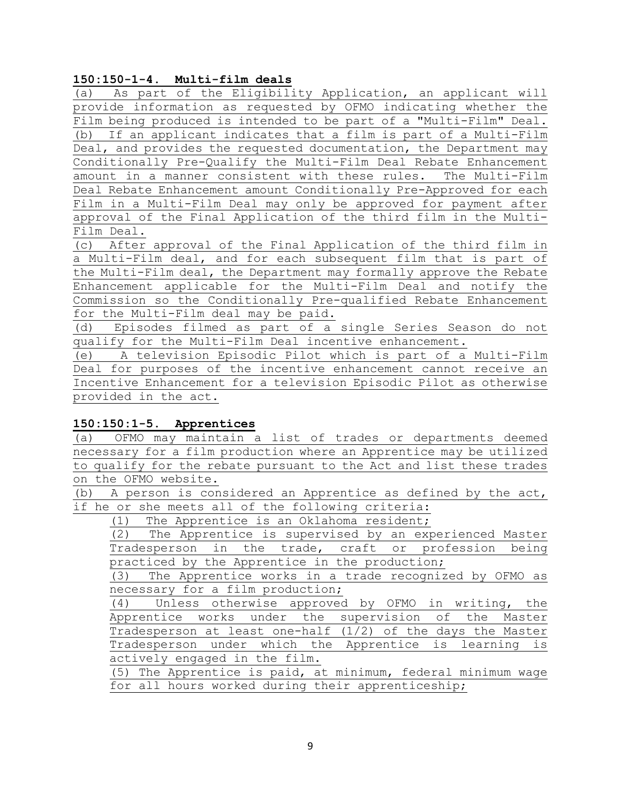## **150:150-1-4. Multi-film deals**

(a) As part of the Eligibility Application, an applicant will provide information as requested by OFMO indicating whether the Film being produced is intended to be part of a "Multi-Film" Deal. (b) If an applicant indicates that a film is part of a Multi-Film Deal, and provides the requested documentation, the Department may Conditionally Pre-Qualify the Multi-Film Deal Rebate Enhancement amount in a manner consistent with these rules. The Multi-Film Deal Rebate Enhancement amount Conditionally Pre-Approved for each Film in a Multi-Film Deal may only be approved for payment after approval of the Final Application of the third film in the Multi-Film Deal.

(c) After approval of the Final Application of the third film in a Multi-Film deal, and for each subsequent film that is part of the Multi-Film deal, the Department may formally approve the Rebate Enhancement applicable for the Multi-Film Deal and notify the Commission so the Conditionally Pre-qualified Rebate Enhancement for the Multi-Film deal may be paid.

(d) Episodes filmed as part of a single Series Season do not qualify for the Multi-Film Deal incentive enhancement.

(e) A television Episodic Pilot which is part of a Multi-Film Deal for purposes of the incentive enhancement cannot receive an Incentive Enhancement for a television Episodic Pilot as otherwise provided in the act.

## **150:150:1-5. Apprentices**

(a) OFMO may maintain a list of trades or departments deemed necessary for a film production where an Apprentice may be utilized to qualify for the rebate pursuant to the Act and list these trades on the OFMO website.

(b) A person is considered an Apprentice as defined by the act, if he or she meets all of the following criteria:

(1) The Apprentice is an Oklahoma resident;

(2) The Apprentice is supervised by an experienced Master Tradesperson in the trade, craft or profession being practiced by the Apprentice in the production;

(3) The Apprentice works in a trade recognized by OFMO as necessary for a film production;

(4) Unless otherwise approved by OFMO in writing, the Apprentice works under the supervision of the Master Tradesperson at least one-half (1/2) of the days the Master Tradesperson under which the Apprentice is learning is actively engaged in the film.

(5) The Apprentice is paid, at minimum, federal minimum wage for all hours worked during their apprenticeship;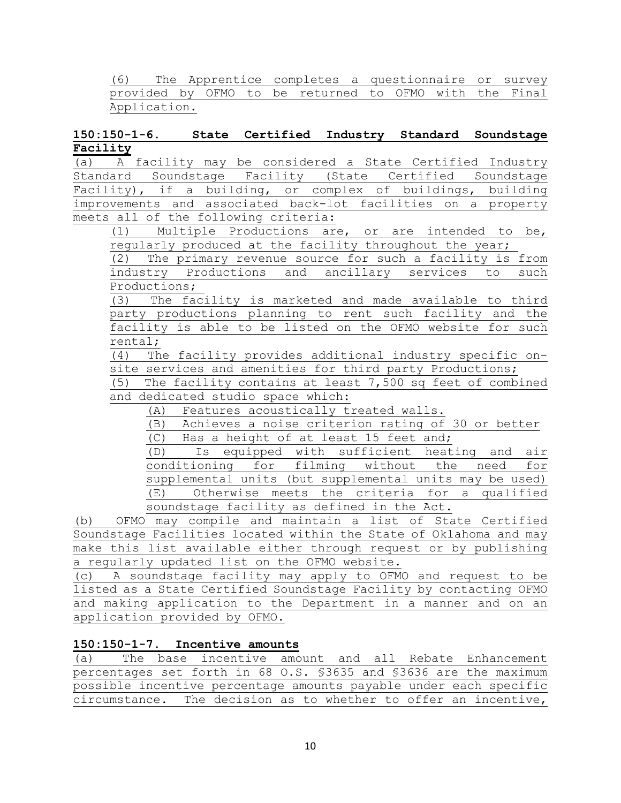(6) The Apprentice completes a questionnaire or survey provided by OFMO to be returned to OFMO with the Final Application.

## **150:150-1-6. State Certified Industry Standard Soundstage Facility**

(a) A facility may be considered a State Certified Industry Standard Soundstage Facility (State Certified Soundstage Facility), if a building, or complex of buildings, building improvements and associated back-lot facilities on a property meets all of the following criteria:

(1) Multiple Productions are, or are intended to be, regularly produced at the facility throughout the year;

(2) The primary revenue source for such a facility is from industry Productions and ancillary services to such Productions;

(3) The facility is marketed and made available to third party productions planning to rent such facility and the facility is able to be listed on the OFMO website for such rental;

(4) The facility provides additional industry specific onsite services and amenities for third party Productions;

(5) The facility contains at least 7,500 sq feet of combined and dedicated studio space which:

(A) Features acoustically treated walls.<br>(B) Achieves a noise criterion rating of

Achieves a noise criterion rating of 30 or better (C) Has a height of at least 15 feet and;

(D) Is equipped with sufficient heating and air conditioning for filming without the need for supplemental units (but supplemental units may be used) (E) Otherwise meets the criteria for a qualified

soundstage facility as defined in the Act.

(b) OFMO may compile and maintain a list of State Certified Soundstage Facilities located within the State of Oklahoma and may make this list available either through request or by publishing a regularly updated list on the OFMO website.

(c) A soundstage facility may apply to OFMO and request to be listed as a State Certified Soundstage Facility by contacting OFMO and making application to the Department in a manner and on an application provided by OFMO.

# **150:150-1-7. Incentive amounts**

(a) The base incentive amount and all Rebate Enhancement percentages set forth in 68 O.S. §3635 and §3636 are the maximum possible incentive percentage amounts payable under each specific circumstance. The decision as to whether to offer an incentive,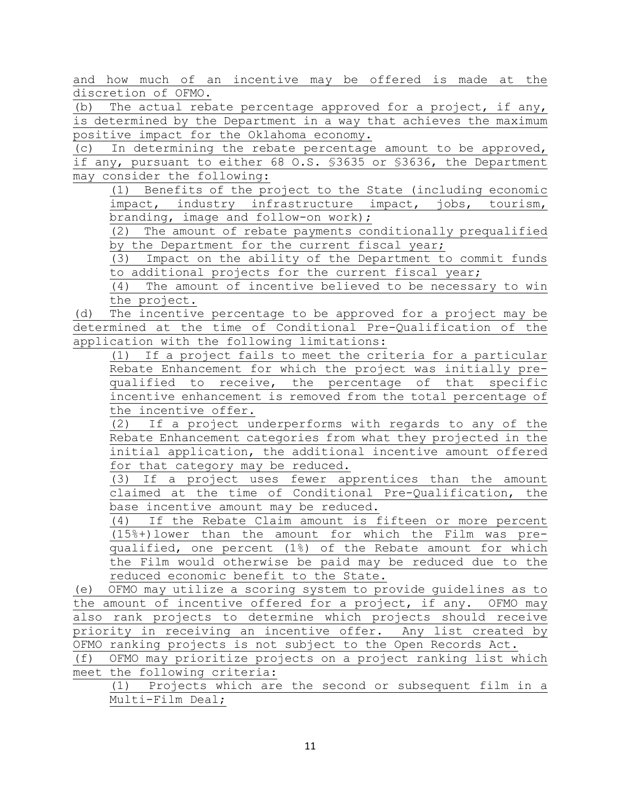and how much of an incentive may be offered is made at the discretion of OFMO.

(b) The actual rebate percentage approved for a project, if any, is determined by the Department in a way that achieves the maximum positive impact for the Oklahoma economy.

(c) In determining the rebate percentage amount to be approved, if any, pursuant to either 68 O.S. §3635 or §3636, the Department may consider the following:

(1) Benefits of the project to the State (including economic impact, industry infrastructure impact, jobs, tourism, branding, image and follow-on work);

(2) The amount of rebate payments conditionally prequalified by the Department for the current fiscal year;

(3) Impact on the ability of the Department to commit funds to additional projects for the current fiscal year;

(4) The amount of incentive believed to be necessary to win the project.

(d) The incentive percentage to be approved for a project may be determined at the time of Conditional Pre-Qualification of the application with the following limitations:

(1) If a project fails to meet the criteria for a particular Rebate Enhancement for which the project was initially prequalified to receive, the percentage of that specific incentive enhancement is removed from the total percentage of the incentive offer.

(2) If a project underperforms with regards to any of the Rebate Enhancement categories from what they projected in the initial application, the additional incentive amount offered for that category may be reduced.

(3) If a project uses fewer apprentices than the amount claimed at the time of Conditional Pre-Qualification, the base incentive amount may be reduced.

(4) If the Rebate Claim amount is fifteen or more percent (15%+)lower than the amount for which the Film was prequalified, one percent (1%) of the Rebate amount for which the Film would otherwise be paid may be reduced due to the reduced economic benefit to the State.

(e) OFMO may utilize a scoring system to provide guidelines as to the amount of incentive offered for a project, if any. OFMO may also rank projects to determine which projects should receive priority in receiving an incentive offer. Any list created by OFMO ranking projects is not subject to the Open Records Act.

(f) OFMO may prioritize projects on a project ranking list which meet the following criteria:

(1) Projects which are the second or subsequent film in a Multi-Film Deal;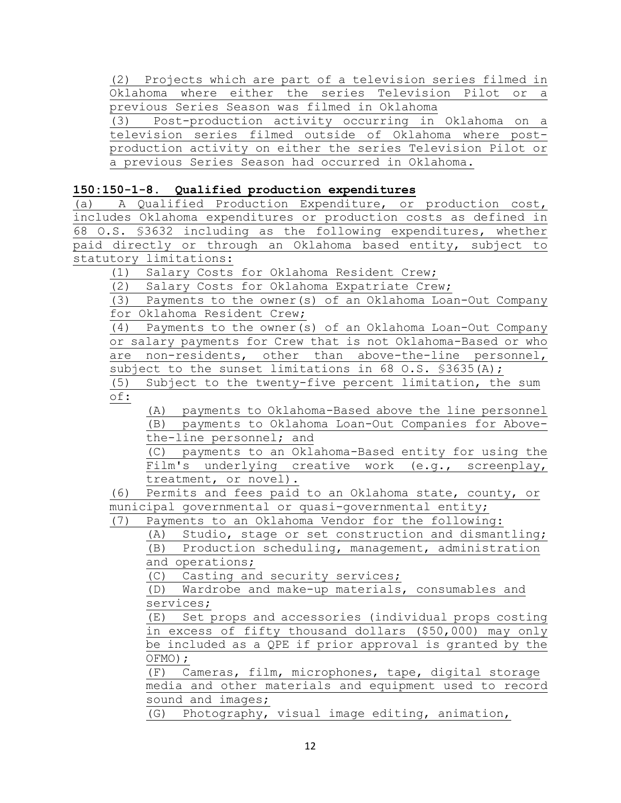(2) Projects which are part of a television series filmed in Oklahoma where either the series Television Pilot or a previous Series Season was filmed in Oklahoma

(3) Post-production activity occurring in Oklahoma on a television series filmed outside of Oklahoma where postproduction activity on either the series Television Pilot or a previous Series Season had occurred in Oklahoma.

# **150:150-1-8. Qualified production expenditures**

(a) A Qualified Production Expenditure, or production cost, includes Oklahoma expenditures or production costs as defined in 68 O.S. §3632 including as the following expenditures, whether paid directly or through an Oklahoma based entity, subject to statutory limitations:

(1) Salary Costs for Oklahoma Resident Crew;

(2) Salary Costs for Oklahoma Expatriate Crew;

(3) Payments to the owner(s) of an Oklahoma Loan-Out Company for Oklahoma Resident Crew;

(4) Payments to the owner(s) of an Oklahoma Loan-Out Company or salary payments for Crew that is not Oklahoma-Based or who are non-residents, other than above-the-line personnel, subject to the sunset limitations in 68 O.S. \$3635(A);

(5) Subject to the twenty-five percent limitation, the sum of:

(A) payments to Oklahoma-Based above the line personnel (B) payments to Oklahoma Loan-Out Companies for Abovethe-line personnel; and

(C) payments to an Oklahoma-Based entity for using the Film's underlying creative work (e.g., screenplay, treatment, or novel).

(6) Permits and fees paid to an Oklahoma state, county, or municipal governmental or quasi-governmental entity;

(7) Payments to an Oklahoma Vendor for the following:

(A) Studio, stage or set construction and dismantling; (B) Production scheduling, management, administration

and operations;

(C) Casting and security services;

(D) Wardrobe and make-up materials, consumables and

services;<br>(E) Set; Set props and accessories (individual props costing in excess of fifty thousand dollars (\$50,000) may only be included as a QPE if prior approval is granted by the OFMO);

(F) Cameras, film, microphones, tape, digital storage media and other materials and equipment used to record sound and images;

(G) Photography, visual image editing, animation,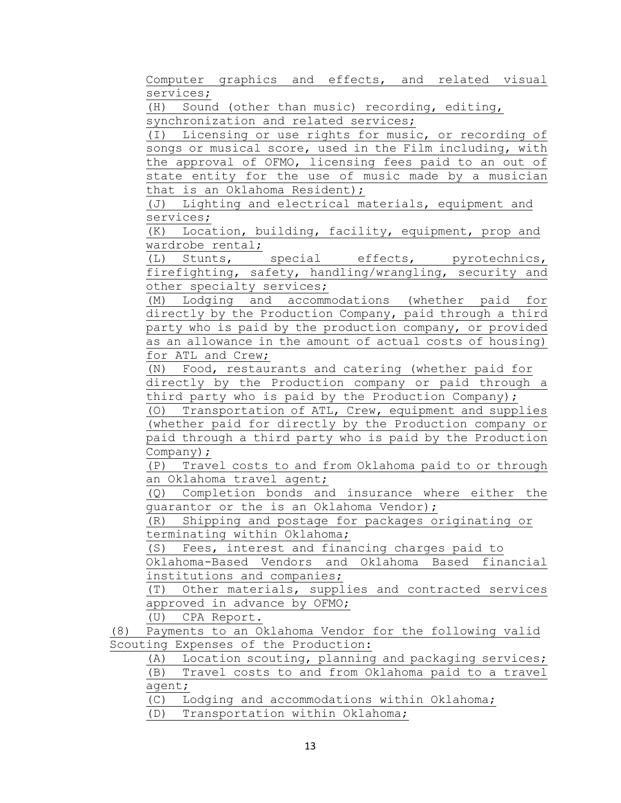Computer graphics and effects, and related visual services;

(H) Sound (other than music) recording, editing, synchronization and related services;

(I) Licensing or use rights for music, or recording of songs or musical score, used in the Film including, with the approval of OFMO, licensing fees paid to an out of state entity for the use of music made by a musician that is an Oklahoma Resident);

(J) Lighting and electrical materials, equipment and services;

(K) Location, building, facility, equipment, prop and wardrobe rental;

(L) Stunts, special effects, pyrotechnics, firefighting, safety, handling/wrangling, security and other specialty services;

(M) Lodging and accommodations (whether paid for directly by the Production Company, paid through a third party who is paid by the production company, or provided as an allowance in the amount of actual costs of housing) for ATL and Crew;

(N) Food, restaurants and catering (whether paid for directly by the Production company or paid through a third party who is paid by the Production Company);

(O) Transportation of ATL, Crew, equipment and supplies (whether paid for directly by the Production company or paid through a third party who is paid by the Production Company);

(P) Travel costs to and from Oklahoma paid to or through an Oklahoma travel agent;

(Q) Completion bonds and insurance where either the guarantor or the is an Oklahoma Vendor);

(R) Shipping and postage for packages originating or terminating within Oklahoma;

(S) Fees, interest and financing charges paid to

Oklahoma-Based Vendors and Oklahoma Based financial institutions and companies;

(T) Other materials, supplies and contracted services approved in advance by OFMO;

(U) CPA Report.

(8) Payments to an Oklahoma Vendor for the following valid Scouting Expenses of the Production:

(A) Location scouting, planning and packaging services; (B) Travel costs to and from Oklahoma paid to a travel agent;

(C) Lodging and accommodations within Oklahoma;

(D) Transportation within Oklahoma;